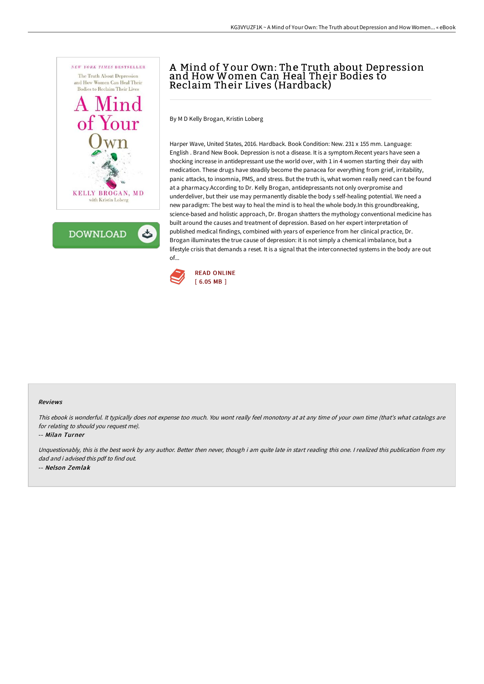

**DOWNLOAD** 

# A Mind of Y our Own: The Truth about Depression and How Women Can Heal Their Bodies to Reclaim Their Lives (Hardback)

By M D Kelly Brogan, Kristin Loberg

Harper Wave, United States, 2016. Hardback. Book Condition: New. 231 x 155 mm. Language: English . Brand New Book. Depression is not a disease. It is a symptom.Recent years have seen a shocking increase in antidepressant use the world over, with 1 in 4 women starting their day with medication. These drugs have steadily become the panacea for everything from grief, irritability, panic attacks, to insomnia, PMS, and stress. But the truth is, what women really need can t be found at a pharmacy.According to Dr. Kelly Brogan, antidepressants not only overpromise and underdeliver, but their use may permanently disable the body s self-healing potential. We need a new paradigm: The best way to heal the mind is to heal the whole body.In this groundbreaking, science-based and holistic approach, Dr. Brogan shatters the mythology conventional medicine has built around the causes and treatment of depression. Based on her expert interpretation of published medical findings, combined with years of experience from her clinical practice, Dr. Brogan illuminates the true cause of depression: it is not simply a chemical imbalance, but a lifestyle crisis that demands a reset. It is a signal that the interconnected systems in the body are out of...



### Reviews

This ebook is wonderful. It typically does not expense too much. You wont really feel monotony at at any time of your own time (that's what catalogs are for relating to should you request me).

#### -- Milan Turner

Unquestionably, this is the best work by any author. Better then never, though i am quite late in start reading this one. <sup>I</sup> realized this publication from my dad and i advised this pdf to find out. -- Nelson Zemlak